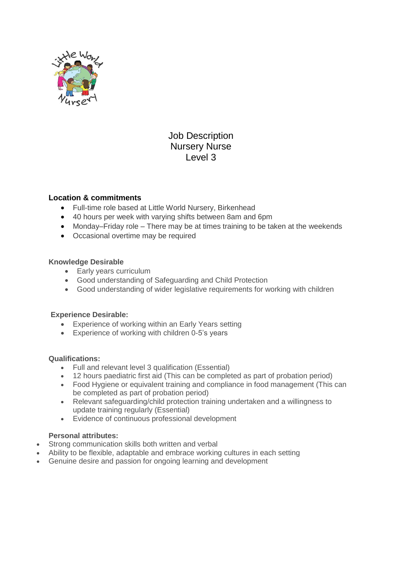

# Job Description Nursery Nurse Level 3

## **Location & commitments**

- Full-time role based at Little World Nursery, Birkenhead
- 40 hours per week with varying shifts between 8am and 6pm
- Monday–Friday role There may be at times training to be taken at the weekends
- Occasional overtime may be required

### **Knowledge Desirable**

- Early years curriculum
- Good understanding of Safeguarding and Child Protection
- Good understanding of wider legislative requirements for working with children

### **Experience Desirable:**

- Experience of working within an Early Years setting
- Experience of working with children 0-5's years

### **Qualifications:**

- Full and relevant level 3 qualification (Essential)
- 12 hours paediatric first aid (This can be completed as part of probation period)
- Food Hygiene or equivalent training and compliance in food management (This can be completed as part of probation period)
- Relevant safeguarding/child protection training undertaken and a willingness to update training regularly (Essential)
- Evidence of continuous professional development

### **Personal attributes:**

- Strong communication skills both written and verbal
- Ability to be flexible, adaptable and embrace working cultures in each setting
- Genuine desire and passion for ongoing learning and development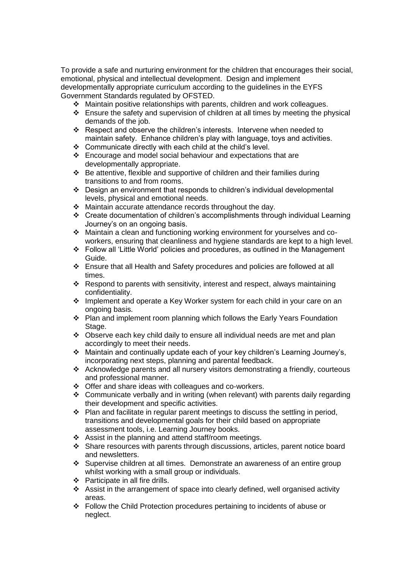To provide a safe and nurturing environment for the children that encourages their social, emotional, physical and intellectual development. Design and implement developmentally appropriate curriculum according to the guidelines in the EYFS Government Standards regulated by OFSTED.

- Maintain positive relationships with parents, children and work colleagues.
- $\div$  Ensure the safety and supervision of children at all times by meeting the physical demands of the job.
- Respect and observe the children's interests. Intervene when needed to maintain safety. Enhance children's play with language, toys and activities.
- Communicate directly with each child at the child's level.
- Encourage and model social behaviour and expectations that are developmentally appropriate.
- Be attentive, flexible and supportive of children and their families during transitions to and from rooms.
- $\div$  Design an environment that responds to children's individual developmental levels, physical and emotional needs.
- Maintain accurate attendance records throughout the day.
- Create documentation of children's accomplishments through individual Learning Journey's on an ongoing basis.
- Maintain a clean and functioning working environment for yourselves and coworkers, ensuring that cleanliness and hygiene standards are kept to a high level.
- Follow all 'Little World' policies and procedures, as outlined in the Management Guide.
- Ensure that all Health and Safety procedures and policies are followed at all times.
- Respond to parents with sensitivity, interest and respect, always maintaining confidentiality.
- Implement and operate a Key Worker system for each child in your care on an ongoing basis.
- ❖ Plan and implement room planning which follows the Early Years Foundation Stage.
- Observe each key child daily to ensure all individual needs are met and plan accordingly to meet their needs.
- Maintain and continually update each of your key children's Learning Journey's, incorporating next steps, planning and parental feedback.
- Acknowledge parents and all nursery visitors demonstrating a friendly, courteous and professional manner.
- Offer and share ideas with colleagues and co-workers.
- Communicate verbally and in writing (when relevant) with parents daily regarding their development and specific activities.
- $\cdot \cdot$  Plan and facilitate in regular parent meetings to discuss the settling in period, transitions and developmental goals for their child based on appropriate assessment tools, i.e. Learning Journey books.
- Assist in the planning and attend staff/room meetings.
- Share resources with parents through discussions, articles, parent notice board and newsletters.
- Supervise children at all times. Demonstrate an awareness of an entire group whilst working with a small group or individuals.
- $\div$  Participate in all fire drills.
- Assist in the arrangement of space into clearly defined, well organised activity areas.
- Follow the Child Protection procedures pertaining to incidents of abuse or neglect.